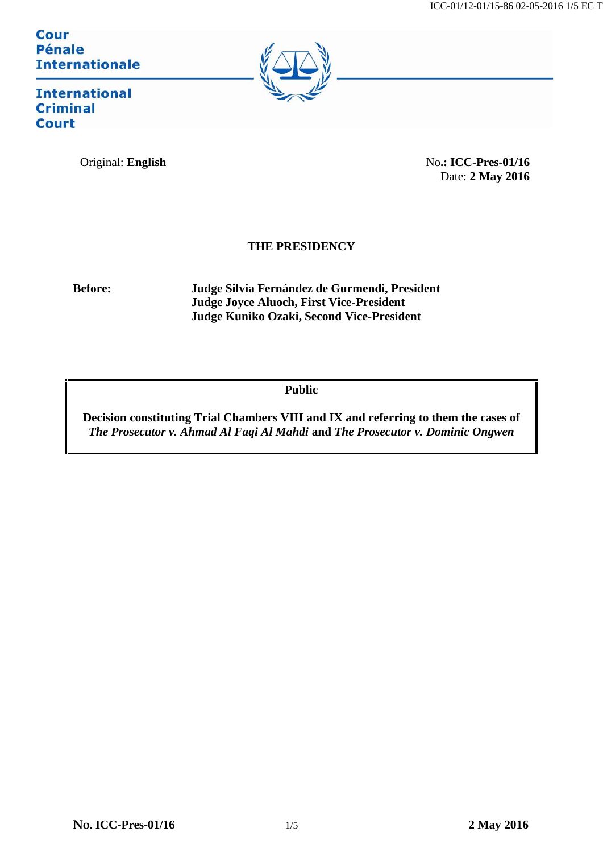**Cour Pénale Internationale** 



**International Criminal Court** 

Original: **English** No.: **ICC-Pres-01/16** Date: **2 May 2016**

## **THE PRESIDENCY**

**Before: Judge Silvia Fernández de Gurmendi, President Judge Joyce Aluoch, First Vice-President Judge Kuniko Ozaki, Second Vice-President**

**Public**

**Decision constituting Trial Chambers VIII and IX and referring to them the cases of** *The Prosecutor v. Ahmad Al Faqi Al Mahdi* **and** *The Prosecutor v. Dominic Ongwen*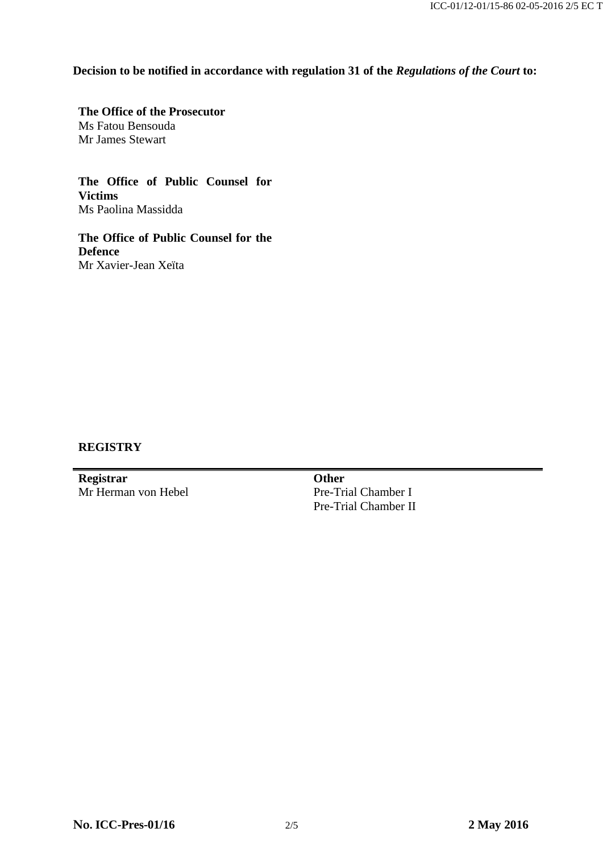**Decision to be notified in accordance with regulation 31 of the** *Regulations of the Court* **to:**

**The Office of the Prosecutor** Ms Fatou Bensouda Mr James Stewart

**The Office of Public Counsel for Victims** Ms Paolina Massidda

**The Office of Public Counsel for the Defence** Mr Xavier-Jean Xeïta

## **REGISTRY**

**Registrar** Mr Herman von Hebel **Other** Pre-Trial Chamber I Pre-Trial Chamber II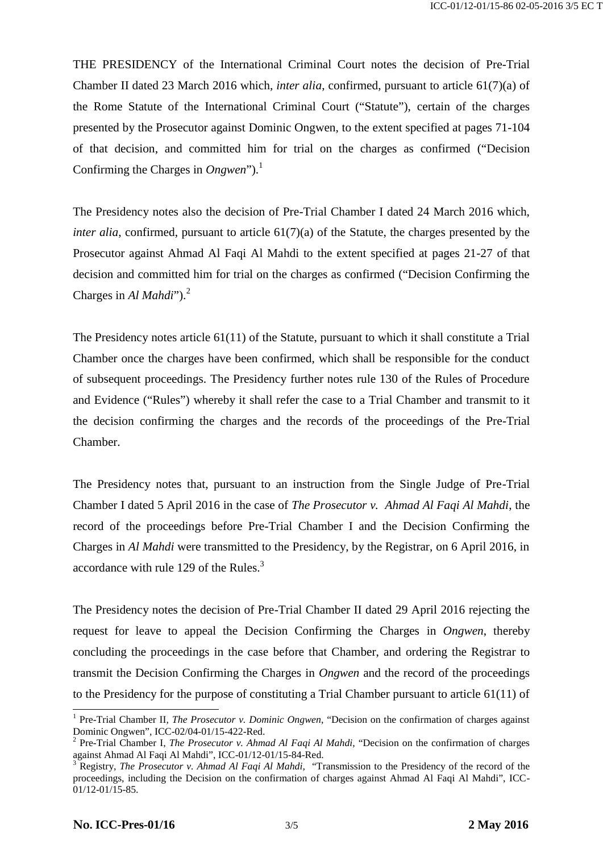THE PRESIDENCY of the International Criminal Court notes the decision of Pre-Trial Chamber II dated 23 March 2016 which, *inter alia*, confirmed, pursuant to article 61(7)(a) of the Rome Statute of the International Criminal Court ("Statute"), certain of the charges presented by the Prosecutor against Dominic Ongwen, to the extent specified at pages 71-104 of that decision, and committed him for trial on the charges as confirmed ("Decision Confirming the Charges in *Ongwen*").<sup>1</sup>

The Presidency notes also the decision of Pre-Trial Chamber I dated 24 March 2016 which, *inter alia*, confirmed, pursuant to article 61(7)(a) of the Statute, the charges presented by the Prosecutor against Ahmad Al Faqi Al Mahdi to the extent specified at pages 21-27 of that decision and committed him for trial on the charges as confirmed ("Decision Confirming the Charges in *Al Mahdi*").<sup>2</sup>

The Presidency notes article 61(11) of the Statute, pursuant to which it shall constitute a Trial Chamber once the charges have been confirmed, which shall be responsible for the conduct of subsequent proceedings. The Presidency further notes rule 130 of the Rules of Procedure and Evidence ("Rules") whereby it shall refer the case to a Trial Chamber and transmit to it the decision confirming the charges and the records of the proceedings of the Pre-Trial Chamber.

The Presidency notes that, pursuant to an instruction from the Single Judge of Pre-Trial Chamber I dated 5 April 2016 in the case of *The Prosecutor v. Ahmad Al Faqi Al Mahdi*, the record of the proceedings before Pre-Trial Chamber I and the Decision Confirming the Charges in *Al Mahdi* were transmitted to the Presidency, by the Registrar, on 6 April 2016, in accordance with rule 129 of the Rules.<sup>3</sup>

The Presidency notes the decision of Pre-Trial Chamber II dated 29 April 2016 rejecting the request for leave to appeal the Decision Confirming the Charges in *Ongwen*, thereby concluding the proceedings in the case before that Chamber, and ordering the Registrar to transmit the Decision Confirming the Charges in *Ongwen* and the record of the proceedings to the Presidency for the purpose of constituting a Trial Chamber pursuant to article 61(11) of

<sup>&</sup>lt;sup>1</sup> Pre-Trial Chamber II, *The Prosecutor v. Dominic Ongwen*, "Decision on the confirmation of charges against Dominic Ongwen", ICC-02/04-01/15-422-Red.

<sup>&</sup>lt;sup>2</sup> Pre-Trial Chamber I, *The Prosecutor v. Ahmad Al Faqi Al Mahdi*, "Decision on the confirmation of charges against Ahmad Al Faqi Al Mahdi", ICC-01/12-01/15-84-Red.<br><sup>3</sup> Registry, *The Prosecutor v. Ahmad Al Faqi Al Mahdi*, "Transmission to the Presidency of the record of the

proceedings, including the Decision on the confirmation of charges against Ahmad Al Faqi Al Mahdi", ICC- 01/12-01/15-85.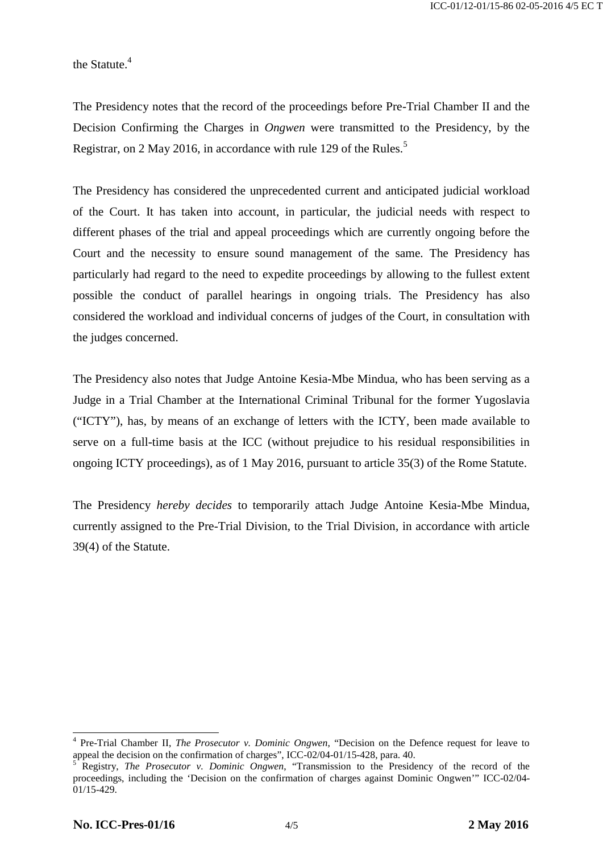the Statute.<sup>4</sup>

The Presidency notes that the record of the proceedings before Pre-Trial Chamber II and the Decision Confirming the Charges in *Ongwen* were transmitted to the Presidency, by the Registrar, on 2 May 2016, in accordance with rule 129 of the Rules.<sup>5</sup>

The Presidency has considered the unprecedented current and anticipated judicial workload of the Court. It has taken into account, in particular, the judicial needs with respect to different phases of the trial and appeal proceedings which are currently ongoing before the Court and the necessity to ensure sound management of the same. The Presidency has particularly had regard to the need to expedite proceedings by allowing to the fullest extent possible the conduct of parallel hearings in ongoing trials. The Presidency has also considered the workload and individual concerns of judges of the Court, in consultation with the judges concerned.

The Presidency also notes that Judge Antoine Kesia-Mbe Mindua, who has been serving as a Judge in a Trial Chamber at the International Criminal Tribunal for the former Yugoslavia ("ICTY"), has, by means of an exchange of letters with the ICTY, been made available to serve on a full-time basis at the ICC (without prejudice to his residual responsibilities in ongoing ICTY proceedings), as of 1 May 2016, pursuant to article 35(3) of the Rome Statute.

The Presidency *hereby decides* to temporarily attach Judge Antoine Kesia-Mbe Mindua, currently assigned to the Pre-Trial Division, to the Trial Division, in accordance with article 39(4) of the Statute.

<sup>4</sup> Pre-Trial Chamber II, *The Prosecutor v. Dominic Ongwen*, "Decision on the Defence request for leave to appeal the decision on the confirmation of charges", ICC-02/04-01/15-428, para. 40.<br><sup>5</sup> Registry, *The Prosecutor v. Dominic Ongwen*, "Transmission to the Presidency of the record of the

proceedings, including the 'Decision on the confirmation of charges against Dominic Ongwen'" ICC-02/04- 01/15-429.